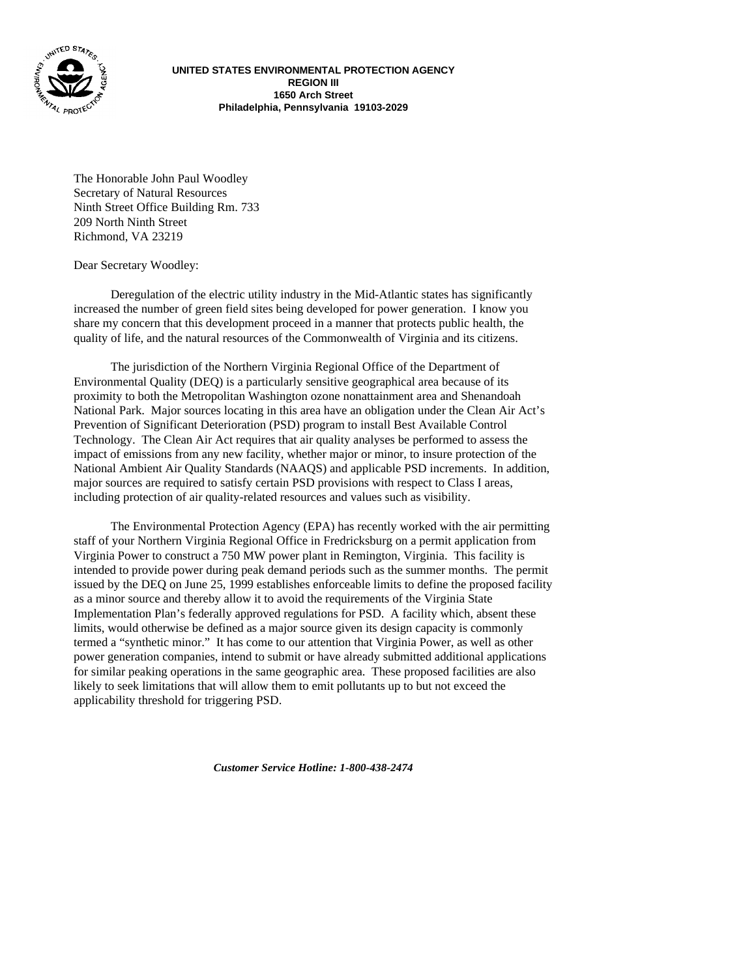

**UNITED STATES ENVIRONMENTAL PROTECTION AGENCY REGION III 1650 Arch Street Philadelphia, Pennsylvania 19103-2029**

The Honorable John Paul Woodley Secretary of Natural Resources Ninth Street Office Building Rm. 733 209 North Ninth Street Richmond, VA 23219

Dear Secretary Woodley:

Deregulation of the electric utility industry in the Mid-Atlantic states has significantly increased the number of green field sites being developed for power generation. I know you share my concern that this development proceed in a manner that protects public health, the quality of life, and the natural resources of the Commonwealth of Virginia and its citizens.

The jurisdiction of the Northern Virginia Regional Office of the Department of Environmental Quality (DEQ) is a particularly sensitive geographical area because of its proximity to both the Metropolitan Washington ozone nonattainment area and Shenandoah National Park. Major sources locating in this area have an obligation under the Clean Air Act's Prevention of Significant Deterioration (PSD) program to install Best Available Control Technology. The Clean Air Act requires that air quality analyses be performed to assess the impact of emissions from any new facility, whether major or minor, to insure protection of the National Ambient Air Quality Standards (NAAQS) and applicable PSD increments. In addition, major sources are required to satisfy certain PSD provisions with respect to Class I areas, including protection of air quality-related resources and values such as visibility.

The Environmental Protection Agency (EPA) has recently worked with the air permitting staff of your Northern Virginia Regional Office in Fredricksburg on a permit application from Virginia Power to construct a 750 MW power plant in Remington, Virginia. This facility is intended to provide power during peak demand periods such as the summer months. The permit issued by the DEQ on June 25, 1999 establishes enforceable limits to define the proposed facility as a minor source and thereby allow it to avoid the requirements of the Virginia State Implementation Plan's federally approved regulations for PSD. A facility which, absent these limits, would otherwise be defined as a major source given its design capacity is commonly termed a "synthetic minor." It has come to our attention that Virginia Power, as well as other power generation companies, intend to submit or have already submitted additional applications for similar peaking operations in the same geographic area. These proposed facilities are also likely to seek limitations that will allow them to emit pollutants up to but not exceed the applicability threshold for triggering PSD.

*Customer Service Hotline: 1-800-438-2474*